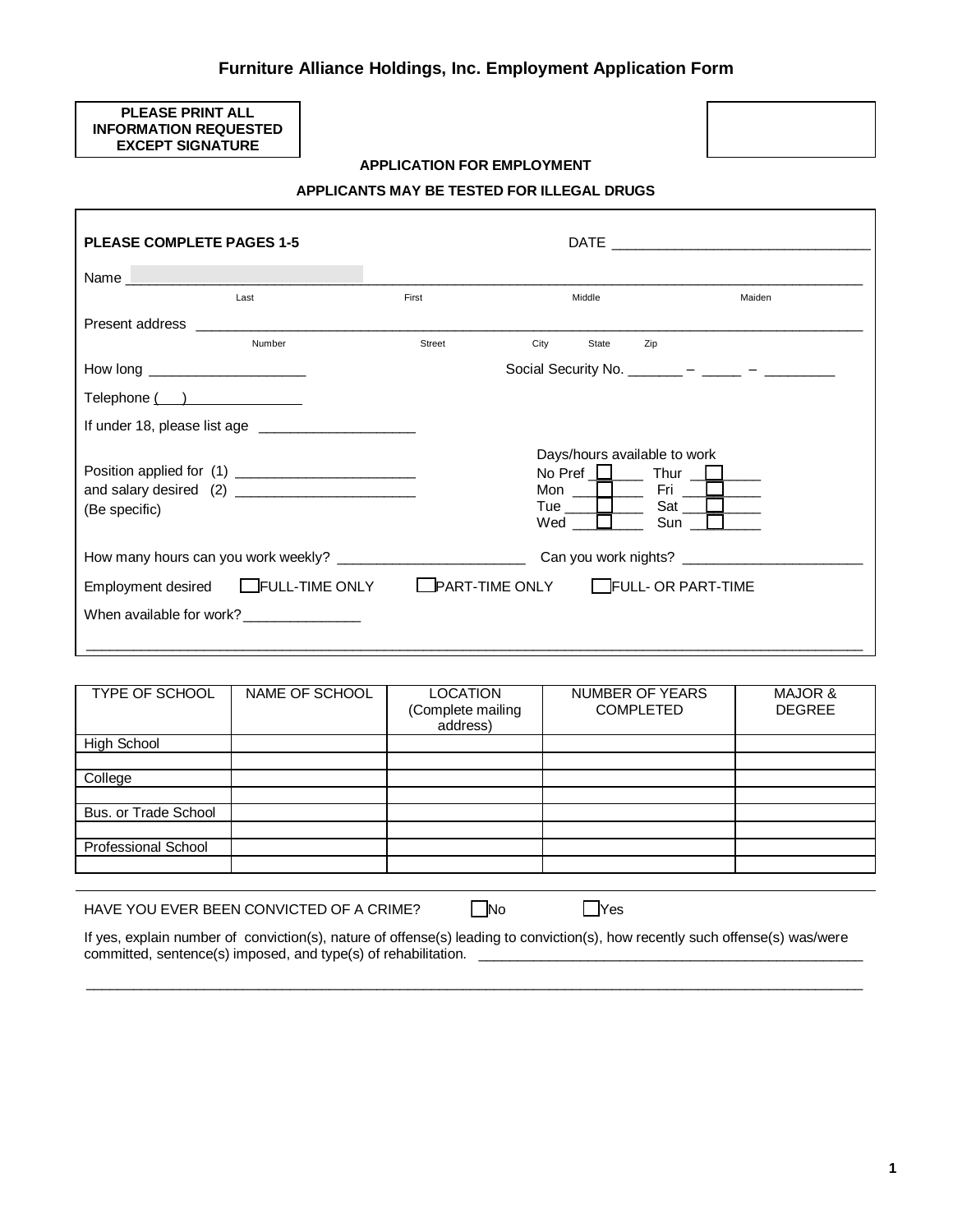# **Furniture Alliance Holdings, Inc. Employment Application Form**

### **PLEASE PRINT ALL INFORMATION REQUESTED EXCEPT SIGNATURE**

## **APPLICATION FOR EMPLOYMENT**



#### **APPLICANTS MAY BE TESTED FOR ILLEGAL DRUGS**

| <b>PLEASE COMPLETE PAGES 1-5</b>                                                                                                                                                                                               |                                          |                                                      |                                                                                     |                                                   |
|--------------------------------------------------------------------------------------------------------------------------------------------------------------------------------------------------------------------------------|------------------------------------------|------------------------------------------------------|-------------------------------------------------------------------------------------|---------------------------------------------------|
| Name and the contract of the contract of the contract of the contract of the contract of the contract of the contract of the contract of the contract of the contract of the contract of the contract of the contract of the c |                                          |                                                      |                                                                                     |                                                   |
|                                                                                                                                                                                                                                | Last                                     | First                                                | Middle                                                                              | Maiden                                            |
| Present address                                                                                                                                                                                                                |                                          |                                                      |                                                                                     |                                                   |
|                                                                                                                                                                                                                                | Number                                   | Street                                               | City<br>State                                                                       | Zip                                               |
| How long ______________________                                                                                                                                                                                                |                                          | Social Security No. _______ – ____ – _____ – _______ |                                                                                     |                                                   |
| $\mathsf{Telephone}$ ( )                                                                                                                                                                                                       |                                          |                                                      |                                                                                     |                                                   |
|                                                                                                                                                                                                                                |                                          |                                                      |                                                                                     |                                                   |
| (Be specific)                                                                                                                                                                                                                  |                                          |                                                      | Days/hours available to work<br>Mon $\Box$ Fri $\Box$<br>Tue $\Box$<br>$Wed$ $\Box$ | No Pref $\Box$ Thur $\Box$<br>Sat $\Box$<br>Sun L |
|                                                                                                                                                                                                                                |                                          |                                                      |                                                                                     |                                                   |
|                                                                                                                                                                                                                                | Employment desired EFULL-TIME ONLY       |                                                      | <b>LPART-TIME ONLY FULL- OR PART-TIME</b>                                           |                                                   |
|                                                                                                                                                                                                                                | When available for work? _______________ |                                                      |                                                                                     |                                                   |

| TYPE OF SCHOOL             | NAME OF SCHOOL | <b>LOCATION</b><br>(Complete mailing<br>address) | <b>NUMBER OF YEARS</b><br><b>COMPLETED</b> | MAJOR &<br><b>DEGREE</b> |
|----------------------------|----------------|--------------------------------------------------|--------------------------------------------|--------------------------|
| <b>High School</b>         |                |                                                  |                                            |                          |
|                            |                |                                                  |                                            |                          |
| College                    |                |                                                  |                                            |                          |
|                            |                |                                                  |                                            |                          |
| Bus. or Trade School       |                |                                                  |                                            |                          |
|                            |                |                                                  |                                            |                          |
| <b>Professional School</b> |                |                                                  |                                            |                          |
|                            |                |                                                  |                                            |                          |
|                            |                |                                                  |                                            |                          |

| HAVE YOU EVER BEEN CONVICTED OF A CRIME? | <b>No</b> | <b>IYes</b> |
|------------------------------------------|-----------|-------------|
|------------------------------------------|-----------|-------------|

If yes, explain number of conviction(s), nature of offense(s) leading to conviction(s), how recently such offense(s) was/were committed, sentence(s) imposed, and type(s) of rehabilitation. \_

\_\_\_\_\_\_\_\_\_\_\_\_\_\_\_\_\_\_\_\_\_\_\_\_\_\_\_\_\_\_\_\_\_\_\_\_\_\_\_\_\_\_\_\_\_\_\_\_\_\_\_\_\_\_\_\_\_\_\_\_\_\_\_\_\_\_\_\_\_\_\_\_\_\_\_\_\_\_\_\_\_\_\_\_\_\_\_\_\_\_\_\_\_\_\_\_\_\_\_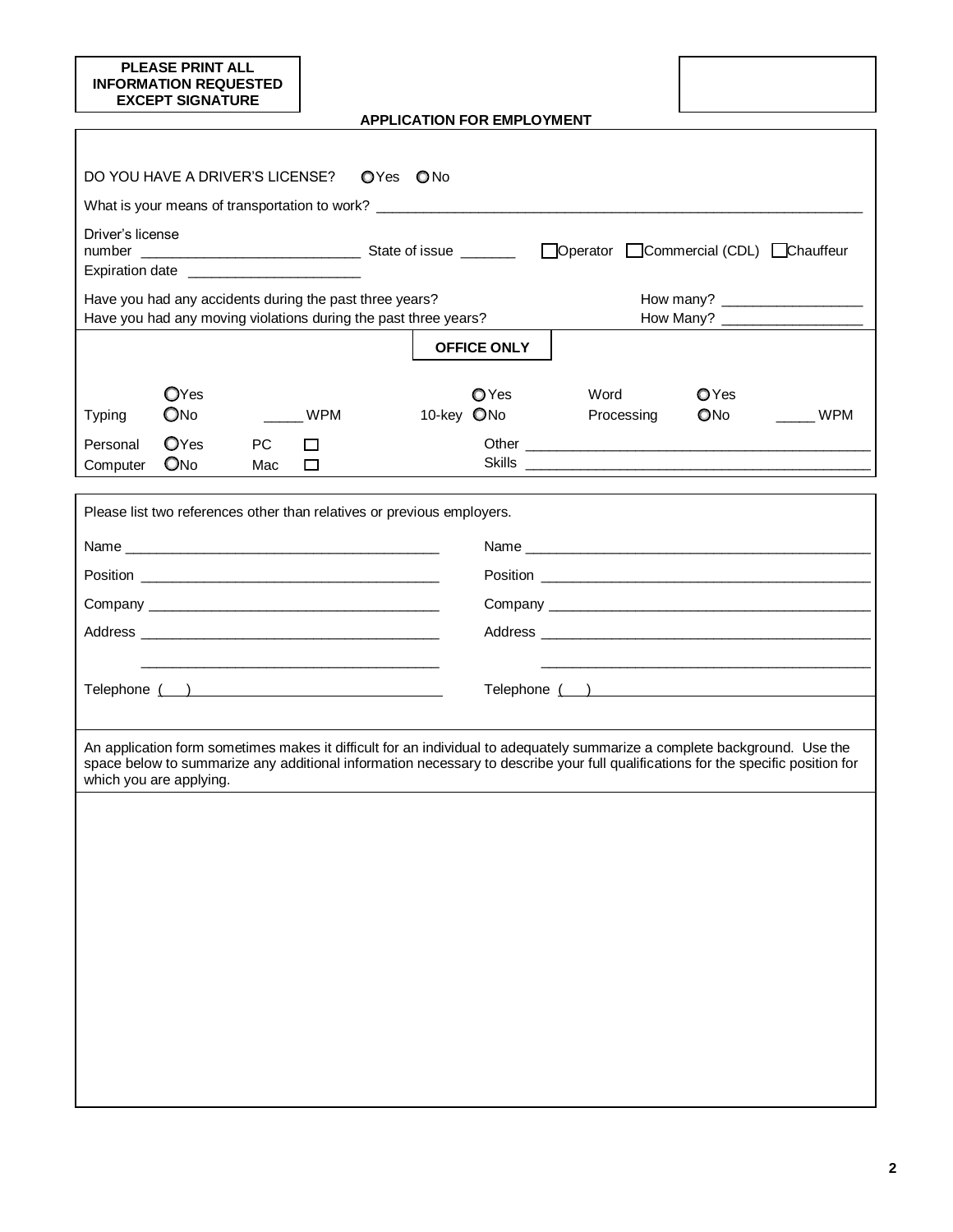| <b>PLEASE PRINT ALL</b><br><b>INFORMATION REQUESTED</b><br><b>EXCEPT SIGNATURE</b>                                                                                                                                                                                                       |             |                                   |                    |                    |  |
|------------------------------------------------------------------------------------------------------------------------------------------------------------------------------------------------------------------------------------------------------------------------------------------|-------------|-----------------------------------|--------------------|--------------------|--|
|                                                                                                                                                                                                                                                                                          |             | <b>APPLICATION FOR EMPLOYMENT</b> |                    |                    |  |
|                                                                                                                                                                                                                                                                                          |             |                                   |                    |                    |  |
| DO YOU HAVE A DRIVER'S LICENSE?                                                                                                                                                                                                                                                          | OYes ONo    |                                   |                    |                    |  |
|                                                                                                                                                                                                                                                                                          |             |                                   |                    |                    |  |
| Driver's license<br>Expiration date _________________________                                                                                                                                                                                                                            |             |                                   |                    |                    |  |
| Have you had any accidents during the past three years?<br>Have you had any moving violations during the past three years?                                                                                                                                                               |             |                                   |                    |                    |  |
|                                                                                                                                                                                                                                                                                          |             |                                   |                    |                    |  |
|                                                                                                                                                                                                                                                                                          |             | <b>OFFICE ONLY</b>                |                    |                    |  |
| OYes<br>ONO<br>Typing                                                                                                                                                                                                                                                                    | WPM         | <b>O</b> Yes<br>10-key ONo        | Word<br>Processing | OYes<br>ONo<br>WPM |  |
| OYes<br><b>PC</b><br>Personal<br>ONO<br>Computer<br>Mac                                                                                                                                                                                                                                  | $\Box$<br>□ |                                   |                    |                    |  |
|                                                                                                                                                                                                                                                                                          |             |                                   |                    |                    |  |
| Please list two references other than relatives or previous employers.                                                                                                                                                                                                                   |             |                                   |                    |                    |  |
|                                                                                                                                                                                                                                                                                          |             |                                   |                    |                    |  |
|                                                                                                                                                                                                                                                                                          |             |                                   |                    |                    |  |
|                                                                                                                                                                                                                                                                                          |             |                                   |                    |                    |  |
|                                                                                                                                                                                                                                                                                          |             |                                   |                    |                    |  |
|                                                                                                                                                                                                                                                                                          |             |                                   |                    |                    |  |
| Telephone ( )                                                                                                                                                                                                                                                                            |             |                                   |                    |                    |  |
|                                                                                                                                                                                                                                                                                          |             |                                   |                    |                    |  |
| An application form sometimes makes it difficult for an individual to adequately summarize a complete background. Use the<br>space below to summarize any additional information necessary to describe your full qualifications for the specific position for<br>which you are applying. |             |                                   |                    |                    |  |
|                                                                                                                                                                                                                                                                                          |             |                                   |                    |                    |  |
|                                                                                                                                                                                                                                                                                          |             |                                   |                    |                    |  |
|                                                                                                                                                                                                                                                                                          |             |                                   |                    |                    |  |
|                                                                                                                                                                                                                                                                                          |             |                                   |                    |                    |  |
|                                                                                                                                                                                                                                                                                          |             |                                   |                    |                    |  |
|                                                                                                                                                                                                                                                                                          |             |                                   |                    |                    |  |
|                                                                                                                                                                                                                                                                                          |             |                                   |                    |                    |  |
|                                                                                                                                                                                                                                                                                          |             |                                   |                    |                    |  |
|                                                                                                                                                                                                                                                                                          |             |                                   |                    |                    |  |
|                                                                                                                                                                                                                                                                                          |             |                                   |                    |                    |  |
|                                                                                                                                                                                                                                                                                          |             |                                   |                    |                    |  |
|                                                                                                                                                                                                                                                                                          |             |                                   |                    |                    |  |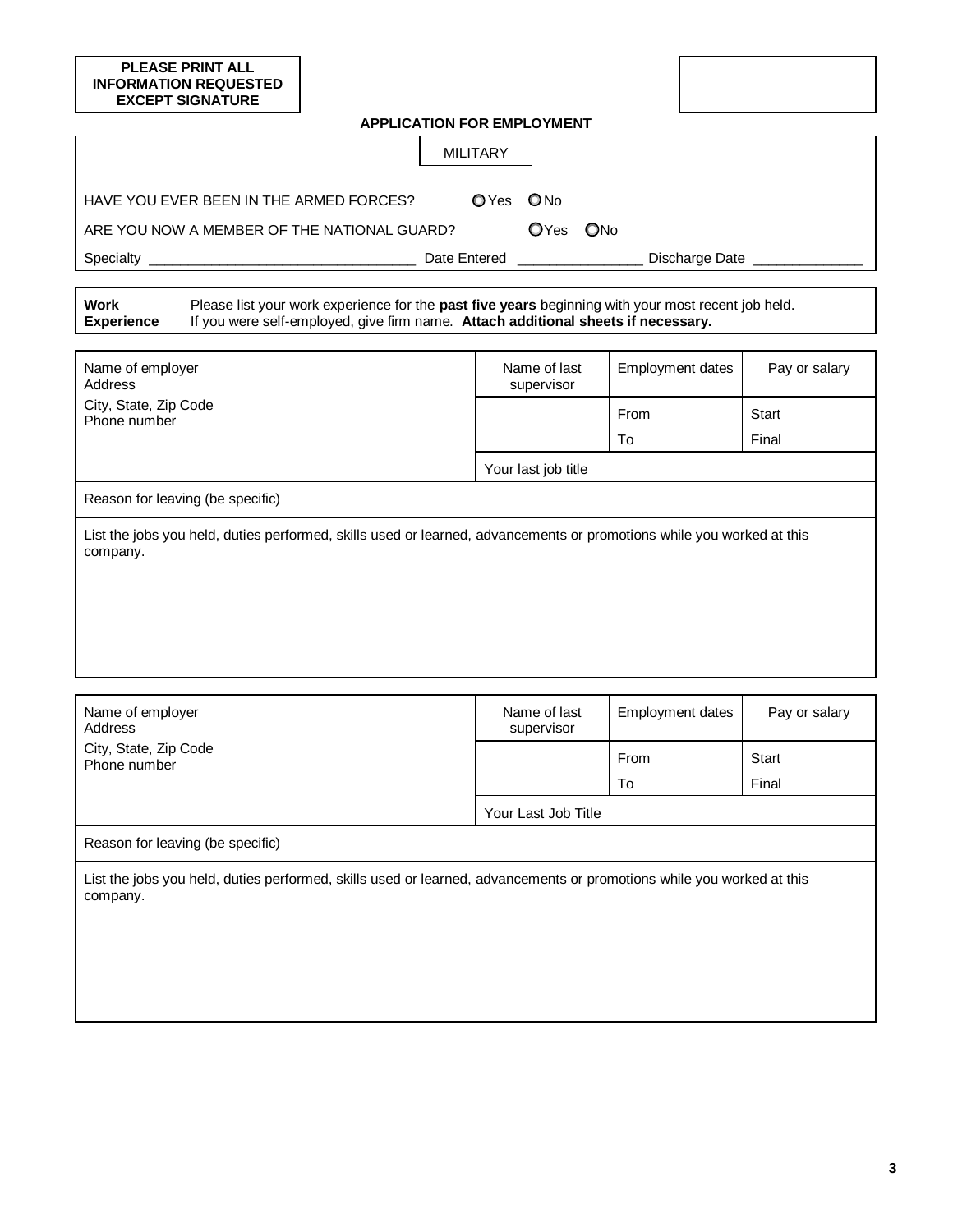| <b>PLEASE PRINT ALL</b><br><b>INFORMATION REQUESTED</b><br><b>EXCEPT SIGNATURE</b>                                                |                                                                                                                                                                                         |                            |                         |               |  |  |
|-----------------------------------------------------------------------------------------------------------------------------------|-----------------------------------------------------------------------------------------------------------------------------------------------------------------------------------------|----------------------------|-------------------------|---------------|--|--|
| <b>APPLICATION FOR EMPLOYMENT</b>                                                                                                 |                                                                                                                                                                                         |                            |                         |               |  |  |
|                                                                                                                                   |                                                                                                                                                                                         | <b>MILITARY</b>            |                         |               |  |  |
|                                                                                                                                   |                                                                                                                                                                                         |                            |                         |               |  |  |
| HAVE YOU EVER BEEN IN THE ARMED FORCES?                                                                                           |                                                                                                                                                                                         | OYes ONo                   |                         |               |  |  |
| ARE YOU NOW A MEMBER OF THE NATIONAL GUARD?                                                                                       |                                                                                                                                                                                         | OYes ONo                   |                         |               |  |  |
|                                                                                                                                   |                                                                                                                                                                                         |                            | Discharge Date ________ |               |  |  |
| Work<br><b>Experience</b>                                                                                                         | Please list your work experience for the past five years beginning with your most recent job held.<br>If you were self-employed, give firm name. Attach additional sheets if necessary. |                            |                         |               |  |  |
| Name of employer<br>Address                                                                                                       |                                                                                                                                                                                         | Name of last<br>supervisor | Employment dates        | Pay or salary |  |  |
| City, State, Zip Code<br>Phone number                                                                                             |                                                                                                                                                                                         |                            | From                    | <b>Start</b>  |  |  |
|                                                                                                                                   |                                                                                                                                                                                         |                            | To                      | Final         |  |  |
|                                                                                                                                   |                                                                                                                                                                                         | Your last job title        |                         |               |  |  |
| Reason for leaving (be specific)                                                                                                  |                                                                                                                                                                                         |                            |                         |               |  |  |
| List the jobs you held, duties performed, skills used or learned, advancements or promotions while you worked at this<br>company. |                                                                                                                                                                                         |                            |                         |               |  |  |
| Name of employer<br>Address                                                                                                       |                                                                                                                                                                                         | Name of last<br>supervisor | <b>Employment dates</b> | Pay or salary |  |  |
| City, State, Zip Code<br>Phone number                                                                                             |                                                                                                                                                                                         |                            | From                    | Start         |  |  |
|                                                                                                                                   |                                                                                                                                                                                         |                            | To                      | Final         |  |  |
|                                                                                                                                   |                                                                                                                                                                                         | Your Last Job Title        |                         |               |  |  |
| Reason for leaving (be specific)                                                                                                  |                                                                                                                                                                                         |                            |                         |               |  |  |
| List the jobs you held, duties performed, skills used or learned, advancements or promotions while you worked at this<br>company. |                                                                                                                                                                                         |                            |                         |               |  |  |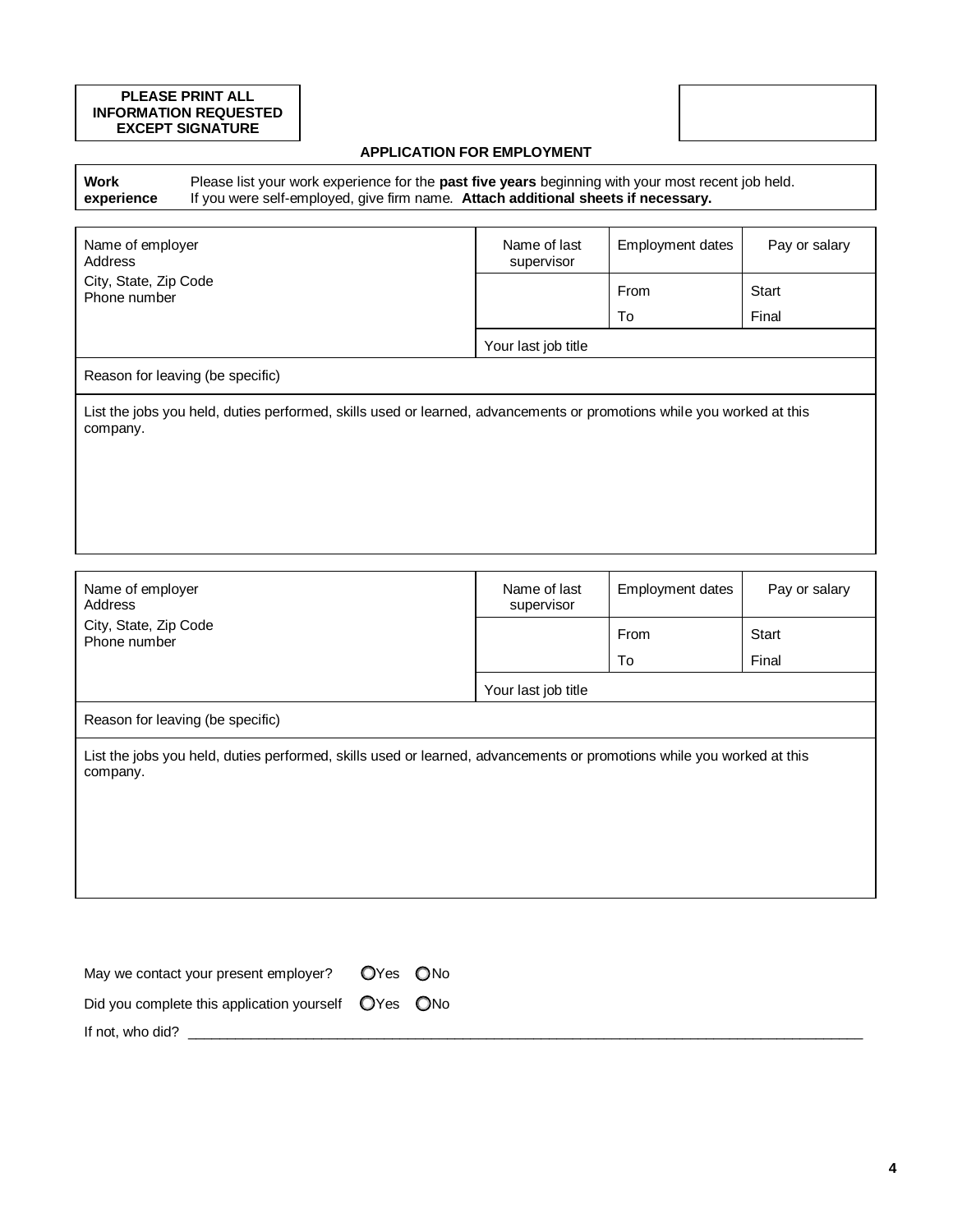#### **PLEASE PRINT ALL INFORMATION REQUESTED EXCEPT SIGNATURE**

## **APPLICATION FOR EMPLOYMENT**

**Work experience** Please list your work experience for the **past five years** beginning with your most recent job held. If you were self-employed, give firm name. **Attach additional sheets if necessary.**

| Name of employer<br>Address                                                                                                       | Name of last<br>supervisor | Employment dates | Pay or salary |  |  |
|-----------------------------------------------------------------------------------------------------------------------------------|----------------------------|------------------|---------------|--|--|
| City, State, Zip Code<br>Phone number                                                                                             |                            | From             | Start         |  |  |
|                                                                                                                                   |                            | To               | Final         |  |  |
|                                                                                                                                   | Your last job title        |                  |               |  |  |
| Reason for leaving (be specific)                                                                                                  |                            |                  |               |  |  |
| List the jobs you held, duties performed, skills used or learned, advancements or promotions while you worked at this<br>company. |                            |                  |               |  |  |
|                                                                                                                                   |                            |                  |               |  |  |
|                                                                                                                                   |                            |                  |               |  |  |
|                                                                                                                                   |                            |                  |               |  |  |

| Name of employer<br>Address           | Name of last<br>supervisor | Employment dates | Pay or salary |
|---------------------------------------|----------------------------|------------------|---------------|
| City, State, Zip Code<br>Phone number |                            | From             | Start         |
|                                       |                            | To               | Final         |
|                                       | Your last job title        |                  |               |
| Reason for leaving (be specific)      |                            |                  |               |
|                                       |                            |                  |               |

List the jobs you held, duties performed, skills used or learned, advancements or promotions while you worked at this company.

| May we contact your present employer?               | OYes ONo |  |
|-----------------------------------------------------|----------|--|
| Did you complete this application yourself OYes ONo |          |  |
| If not, who did?                                    |          |  |